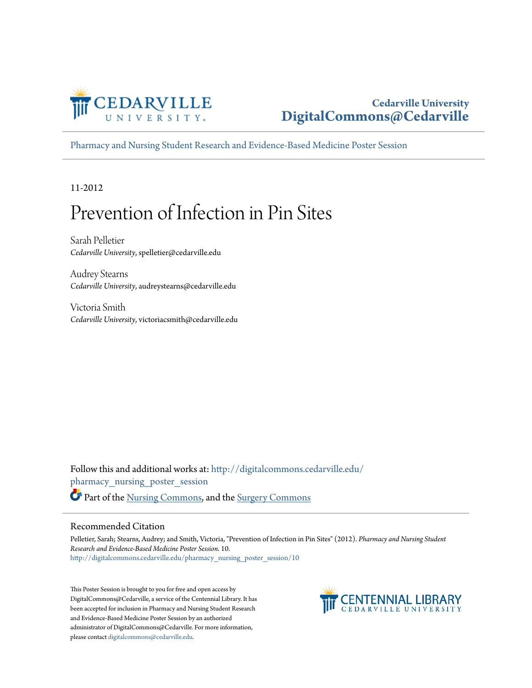

#### **Cedarville University [DigitalCommons@Cedarville](http://digitalcommons.cedarville.edu?utm_source=digitalcommons.cedarville.edu%2Fpharmacy_nursing_poster_session%2F10&utm_medium=PDF&utm_campaign=PDFCoverPages)**

[Pharmacy and Nursing Student Research and Evidence-Based Medicine Poster Session](http://digitalcommons.cedarville.edu/pharmacy_nursing_poster_session?utm_source=digitalcommons.cedarville.edu%2Fpharmacy_nursing_poster_session%2F10&utm_medium=PDF&utm_campaign=PDFCoverPages)

11-2012

#### Prevention of Infection in Pin Sites

Sarah Pelletier *Cedarville University*, spelletier@cedarville.edu

Audrey Stearns *Cedarville University*, audreystearns@cedarville.edu

Victoria Smith *Cedarville University*, victoriacsmith@cedarville.edu

Follow this and additional works at: [http://digitalcommons.cedarville.edu/](http://digitalcommons.cedarville.edu/pharmacy_nursing_poster_session?utm_source=digitalcommons.cedarville.edu%2Fpharmacy_nursing_poster_session%2F10&utm_medium=PDF&utm_campaign=PDFCoverPages) [pharmacy\\_nursing\\_poster\\_session](http://digitalcommons.cedarville.edu/pharmacy_nursing_poster_session?utm_source=digitalcommons.cedarville.edu%2Fpharmacy_nursing_poster_session%2F10&utm_medium=PDF&utm_campaign=PDFCoverPages) Part of the [Nursing Commons](http://network.bepress.com/hgg/discipline/718?utm_source=digitalcommons.cedarville.edu%2Fpharmacy_nursing_poster_session%2F10&utm_medium=PDF&utm_campaign=PDFCoverPages), and the [Surgery Commons](http://network.bepress.com/hgg/discipline/706?utm_source=digitalcommons.cedarville.edu%2Fpharmacy_nursing_poster_session%2F10&utm_medium=PDF&utm_campaign=PDFCoverPages)

#### Recommended Citation

Pelletier, Sarah; Stearns, Audrey; and Smith, Victoria, "Prevention of Infection in Pin Sites" (2012). *Pharmacy and Nursing Student Research and Evidence-Based Medicine Poster Session*. 10. [http://digitalcommons.cedarville.edu/pharmacy\\_nursing\\_poster\\_session/10](http://digitalcommons.cedarville.edu/pharmacy_nursing_poster_session/10?utm_source=digitalcommons.cedarville.edu%2Fpharmacy_nursing_poster_session%2F10&utm_medium=PDF&utm_campaign=PDFCoverPages)

This Poster Session is brought to you for free and open access by DigitalCommons@Cedarville, a service of the Centennial Library. It has been accepted for inclusion in Pharmacy and Nursing Student Research and Evidence-Based Medicine Poster Session by an authorized administrator of DigitalCommons@Cedarville. For more information, please contact [digitalcommons@cedarville.edu.](mailto:digitalcommons@cedarville.edu)